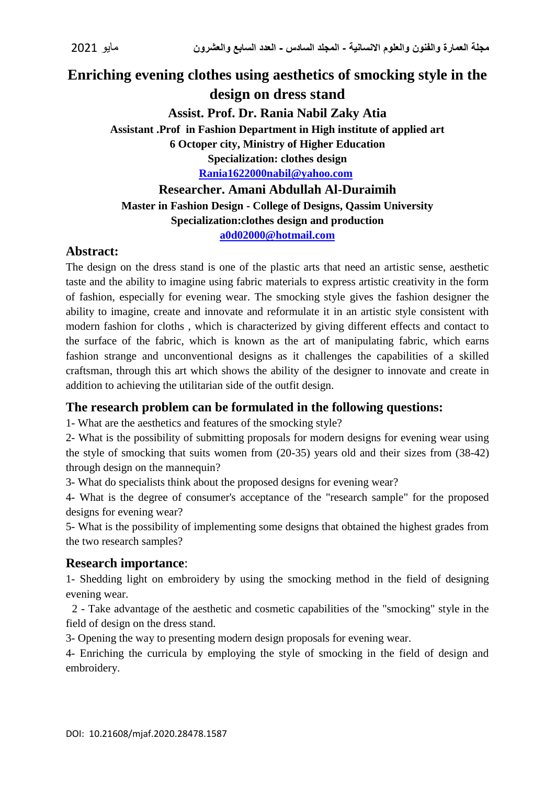# **Enriching evening clothes using aesthetics of smocking style in the design on dress stand Assist. Prof. Dr. Rania Nabil Zaky Atia Assistant .Prof in Fashion Department in High institute of applied art**

**6 Octoper city, Ministry of Higher Education**

**Specialization: clothes design**

**[Rania1622000nabil@yahoo.com](mailto:Rania1622000nabil@yahoo.com)**

**Researcher. Amani Abdullah Al-Duraimih Master in Fashion Design - College of Designs, Qassim University Specialization:clothes design and production [a0d02000@hotmail.com](mailto:a0d02000@hotmail.com)**

# **Abstract:**

The design on the dress stand is one of the plastic arts that need an artistic sense, aesthetic taste and the ability to imagine using fabric materials to express artistic creativity in the form of fashion, especially for evening wear. The smocking style gives the fashion designer the ability to imagine, create and innovate and reformulate it in an artistic style consistent with modern fashion for cloths , which is characterized by giving different effects and contact to the surface of the fabric, which is known as the art of manipulating fabric, which earns fashion strange and unconventional designs as it challenges the capabilities of a skilled craftsman, through this art which shows the ability of the designer to innovate and create in addition to achieving the utilitarian side of the outfit design.

# **The research problem can be formulated in the following questions:**

1- What are the aesthetics and features of the smocking style?

2- What is the possibility of submitting proposals for modern designs for evening wear using the style of smocking that suits women from (20-35) years old and their sizes from (38-42) through design on the mannequin?

3- What do specialists think about the proposed designs for evening wear?

4- What is the degree of consumer's acceptance of the "research sample" for the proposed designs for evening wear?

5- What is the possibility of implementing some designs that obtained the highest grades from the two research samples?

# **Research importance**:

1- Shedding light on embroidery by using the smocking method in the field of designing evening wear.

2 - Take advantage of the aesthetic and cosmetic capabilities of the "smocking" style in the field of design on the dress stand.

3- Opening the way to presenting modern design proposals for evening wear.

4- Enriching the curricula by employing the style of smocking in the field of design and embroidery.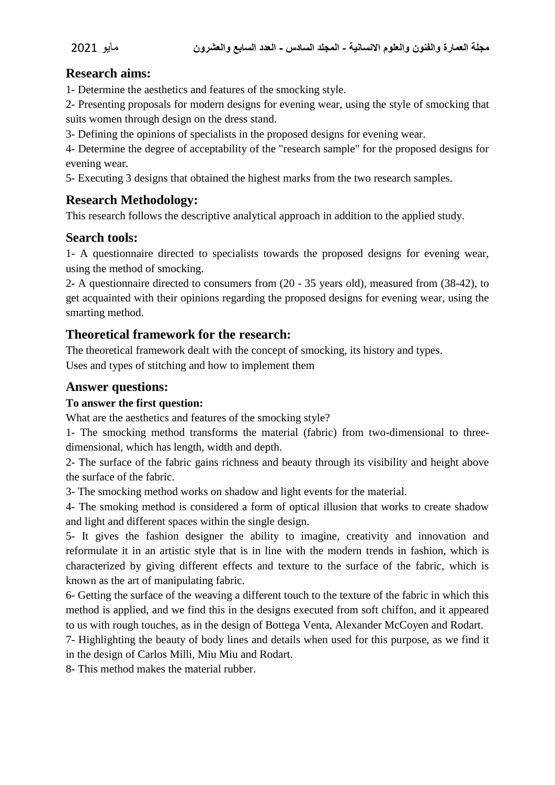# **Research aims:**

1- Determine the aesthetics and features of the smocking style.

2- Presenting proposals for modern designs for evening wear, using the style of smocking that suits women through design on the dress stand.

3- Defining the opinions of specialists in the proposed designs for evening wear.

4- Determine the degree of acceptability of the "research sample" for the proposed designs for evening wear.

5- Executing 3 designs that obtained the highest marks from the two research samples.

# **Research Methodology:**

This research follows the descriptive analytical approach in addition to the applied study.

## **Search tools:**

1- A questionnaire directed to specialists towards the proposed designs for evening wear, using the method of smocking.

2- A questionnaire directed to consumers from (20 - 35 years old), measured from (38-42), to get acquainted with their opinions regarding the proposed designs for evening wear, using the smarting method.

# **Theoretical framework for the research:**

The theoretical framework dealt with the concept of smocking, its history and types. Uses and types of stitching and how to implement them

### **Answer questions:**

### **To answer the first question:**

What are the aesthetics and features of the smocking style?

1- The smocking method transforms the material (fabric) from two-dimensional to threedimensional, which has length, width and depth.

2- The surface of the fabric gains richness and beauty through its visibility and height above the surface of the fabric.

3- The smocking method works on shadow and light events for the material.

4- The smoking method is considered a form of optical illusion that works to create shadow and light and different spaces within the single design.

5- It gives the fashion designer the ability to imagine, creativity and innovation and reformulate it in an artistic style that is in line with the modern trends in fashion, which is characterized by giving different effects and texture to the surface of the fabric, which is known as the art of manipulating fabric.

6- Getting the surface of the weaving a different touch to the texture of the fabric in which this method is applied, and we find this in the designs executed from soft chiffon, and it appeared to us with rough touches, as in the design of Bottega Venta, Alexander McCoyen and Rodart.

7- Highlighting the beauty of body lines and details when used for this purpose, as we find it in the design of Carlos Milli, Miu Miu and Rodart.

8- This method makes the material rubber.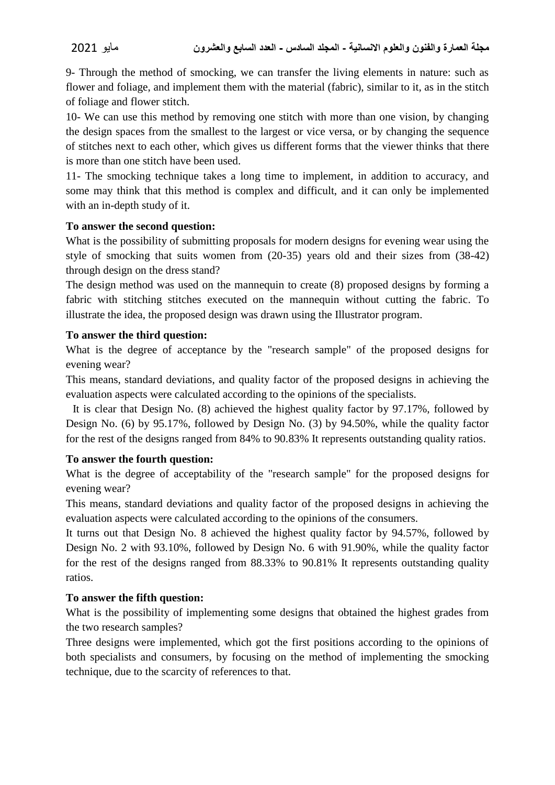9- Through the method of smocking, we can transfer the living elements in nature: such as flower and foliage, and implement them with the material (fabric), similar to it, as in the stitch of foliage and flower stitch.

10- We can use this method by removing one stitch with more than one vision, by changing the design spaces from the smallest to the largest or vice versa, or by changing the sequence of stitches next to each other, which gives us different forms that the viewer thinks that there is more than one stitch have been used.

11- The smocking technique takes a long time to implement, in addition to accuracy, and some may think that this method is complex and difficult, and it can only be implemented with an in-depth study of it.

### **To answer the second question:**

What is the possibility of submitting proposals for modern designs for evening wear using the style of smocking that suits women from (20-35) years old and their sizes from (38-42) through design on the dress stand?

The design method was used on the mannequin to create (8) proposed designs by forming a fabric with stitching stitches executed on the mannequin without cutting the fabric. To illustrate the idea, the proposed design was drawn using the Illustrator program.

### **To answer the third question:**

What is the degree of acceptance by the "research sample" of the proposed designs for evening wear?

This means, standard deviations, and quality factor of the proposed designs in achieving the evaluation aspects were calculated according to the opinions of the specialists.

It is clear that Design No. (8) achieved the highest quality factor by 97.17%, followed by Design No. (6) by 95.17%, followed by Design No. (3) by 94.50%, while the quality factor for the rest of the designs ranged from 84% to 90.83% It represents outstanding quality ratios.

### **To answer the fourth question:**

What is the degree of acceptability of the "research sample" for the proposed designs for evening wear?

This means, standard deviations and quality factor of the proposed designs in achieving the evaluation aspects were calculated according to the opinions of the consumers.

It turns out that Design No. 8 achieved the highest quality factor by 94.57%, followed by Design No. 2 with 93.10%, followed by Design No. 6 with 91.90%, while the quality factor for the rest of the designs ranged from 88.33% to 90.81% It represents outstanding quality ratios.

### **To answer the fifth question:**

What is the possibility of implementing some designs that obtained the highest grades from the two research samples?

Three designs were implemented, which got the first positions according to the opinions of both specialists and consumers, by focusing on the method of implementing the smocking technique, due to the scarcity of references to that.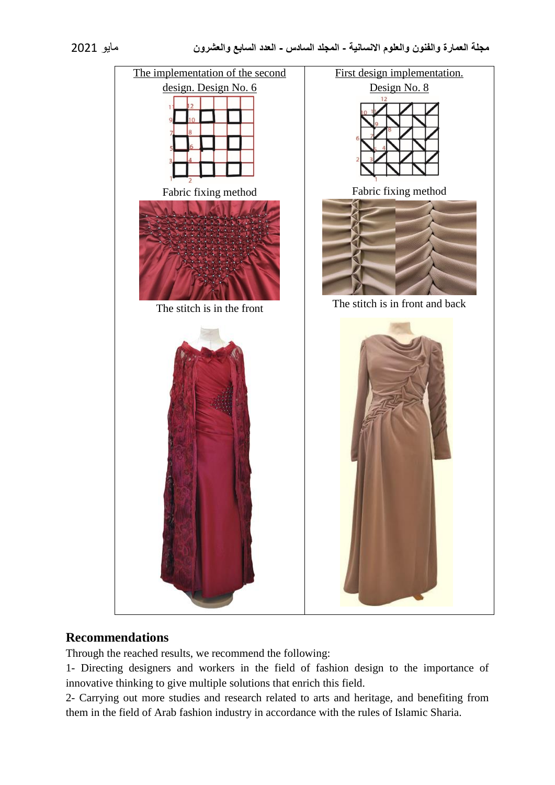

# **Recommendations**

Through the reached results, we recommend the following:

1- Directing designers and workers in the field of fashion design to the importance of innovative thinking to give multiple solutions that enrich this field.

2- Carrying out more studies and research related to arts and heritage, and benefiting from them in the field of Arab fashion industry in accordance with the rules of Islamic Sharia.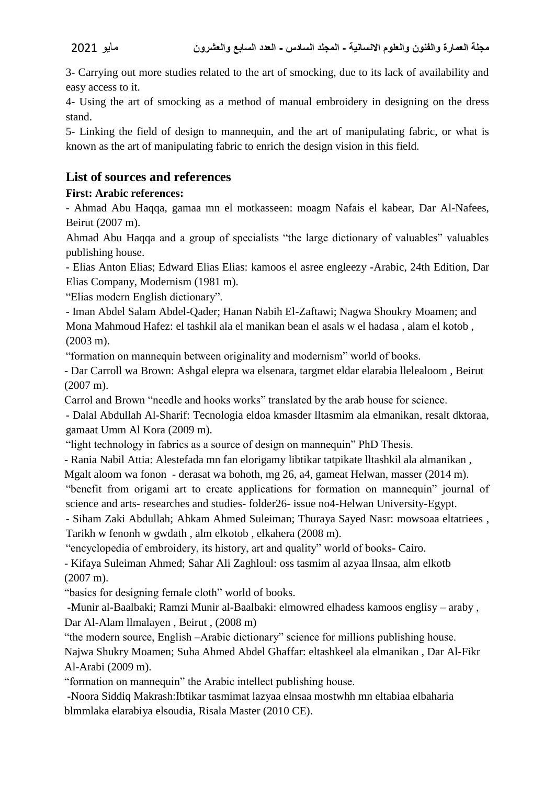3- Carrying out more studies related to the art of smocking, due to its lack of availability and easy access to it.

4- Using the art of smocking as a method of manual embroidery in designing on the dress stand.

5- Linking the field of design to mannequin, and the art of manipulating fabric, or what is known as the art of manipulating fabric to enrich the design vision in this field.

# **List of sources and references**

## **First: Arabic references:**

- Ahmad Abu Haqqa, gamaa mn el motkasseen: moagm Nafais el kabear, Dar Al-Nafees, Beirut (2007 m).

Ahmad Abu Haqqa and a group of specialists "the large dictionary of valuables" valuables publishing house.

- Elias Anton Elias; Edward Elias Elias: kamoos el asree engleezy -Arabic, 24th Edition, Dar Elias Company, Modernism (1981 m).

"Elias modern English dictionary".

- Iman Abdel Salam Abdel-Qader; Hanan Nabih El-Zaftawi; Nagwa Shoukry Moamen; and Mona Mahmoud Hafez: el tashkil ala el manikan bean el asals w el hadasa , alam el kotob , (2003 m).

"formation on mannequin between originality and modernism" world of books.

- Dar Carroll wa Brown: Ashgal elepra wa elsenara, targmet eldar elarabia llelealoom , Beirut (2007 m).

Carrol and Brown "needle and hooks works" translated by the arab house for science.

- Dalal Abdullah Al-Sharif: Tecnologia eldoa kmasder lltasmim ala elmanikan, resalt dktoraa, gamaat Umm Al Kora (2009 m).

"light technology in fabrics as a source of design on mannequin" PhD Thesis.

- Rania Nabil Attia: Alestefada mn fan elorigamy libtikar tatpikate lltashkil ala almanikan ,

Mgalt aloom wa fonon - derasat wa bohoth, mg 26, a4, gameat Helwan, masser (2014 m).

"benefit from origami art to create applications for formation on mannequin" journal of science and arts- researches and studies- folder26- issue no4-Helwan University-Egypt.

- Siham Zaki Abdullah; Ahkam Ahmed Suleiman; Thuraya Sayed Nasr: mowsoaa eltatriees , Tarikh w fenonh w gwdath , alm elkotob , elkahera (2008 m).

"encyclopedia of embroidery, its history, art and quality" world of books- Cairo.

- Kifaya Suleiman Ahmed; Sahar Ali Zaghloul: oss tasmim al azyaa llnsaa, alm elkotb (2007 m).

"basics for designing female cloth" world of books.

-Munir al-Baalbaki; Ramzi Munir al-Baalbaki: elmowred elhadess kamoos englisy – araby , Dar Al-Alam llmalayen , Beirut , (2008 m)

"the modern source, English –Arabic dictionary" science for millions publishing house. Najwa Shukry Moamen; Suha Ahmed Abdel Ghaffar: eltashkeel ala elmanikan , Dar Al-Fikr Al-Arabi (2009 m).

"formation on mannequin" the Arabic intellect publishing house.

-Noora Siddiq Makrash:Ibtikar tasmimat lazyaa elnsaa mostwhh mn eltabiaa elbaharia blmmlaka elarabiya elsoudia, Risala Master (2010 CE).